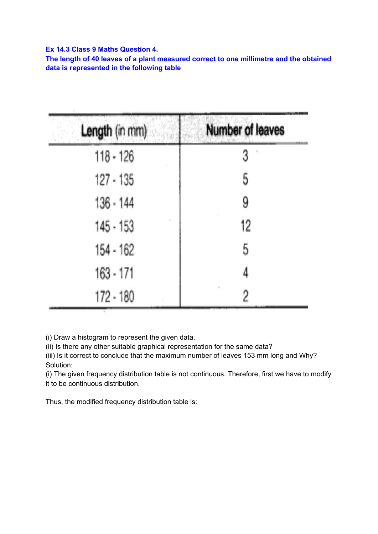## **Ex 14.3 Class 9 Maths Question 4.**

**The length of 40 leaves of a plant measured correct to one millimetre and the obtained data is represented in the following table**

| Length (in mm) | <b>Number of leaves</b> |
|----------------|-------------------------|
| $118 - 126$    |                         |
| $127 - 135$    | 5                       |
| $136 - 144$    | 9                       |
| $145 - 153$    | 12                      |
| 154 - 162      | 5                       |
| 163 - 171      | 4                       |
| 172 - 180      | 2                       |

(i) Draw a histogram to represent the given data.

(ii) Is there any other suitable graphical representation for the same data?

(iii) Is it correct to conclude that the maximum number of leaves 153 mm long and Why? Solution:

(i) The given frequency distribution table is not continuous. Therefore, first we have to modify it to be continuous distribution.

Thus, the modified frequency distribution table is: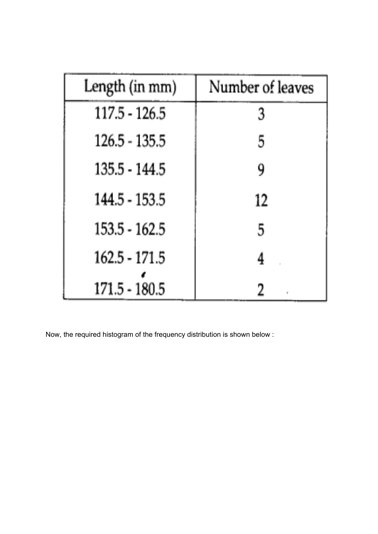| Length (in mm)  | Number of leaves |
|-----------------|------------------|
| $117.5 - 126.5$ | 3                |
| $126.5 - 135.5$ | 5                |
| 135.5 - 144.5   | 9                |
| 144.5 - 153.5   | 12               |
| 153.5 - 162.5   | 5                |
| 162.5 - 171.5   | 4                |
| 171.5 - 180.5   |                  |

Now, the required histogram of the frequency distribution is shown below :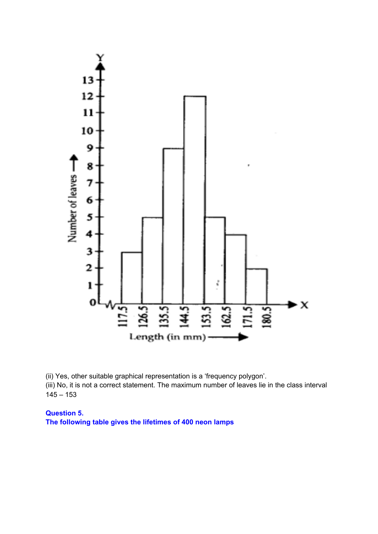

(ii) Yes, other suitable graphical representation is a 'frequency polygon'. (iii) No, it is not a correct statement. The maximum number of leaves lie in the class interval  $145 - 153$ 

**Question 5. The following table gives the lifetimes of 400 neon lamps**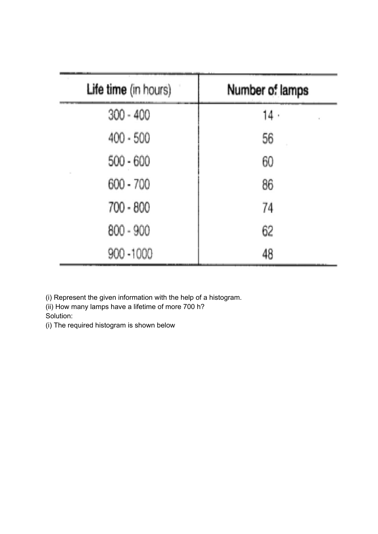| Life time (in hours) | Number of lamps |
|----------------------|-----------------|
| $300 - 400$          | 14.             |
| $400 - 500$          | 56              |
| $500 - 600$          | 60              |
| $600 - 700$          | 86              |
| 700 - 800            | 74              |
| 800 - 900            | 62              |
| 900 - 1000           | 48              |

(i) Represent the given information with the help of a histogram.

(ii) How many lamps have a lifetime of more 700 h?

Solution:

(i) The required histogram is shown below